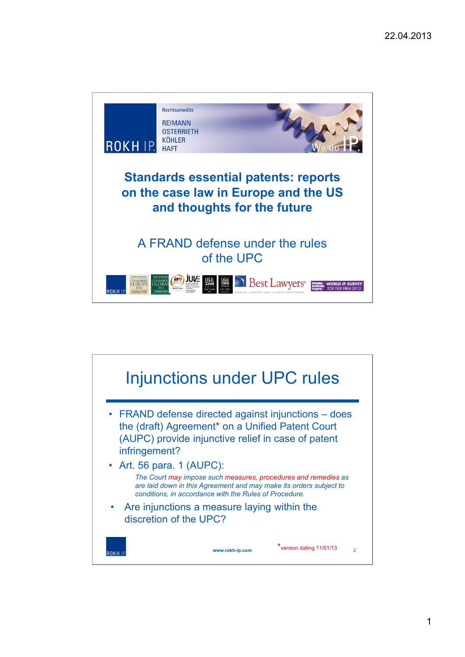

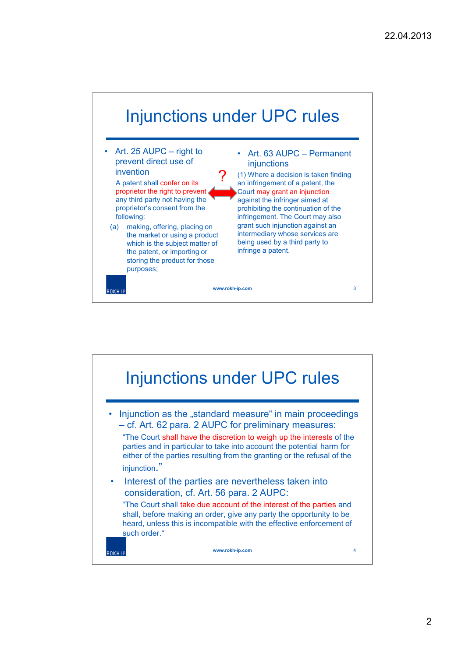

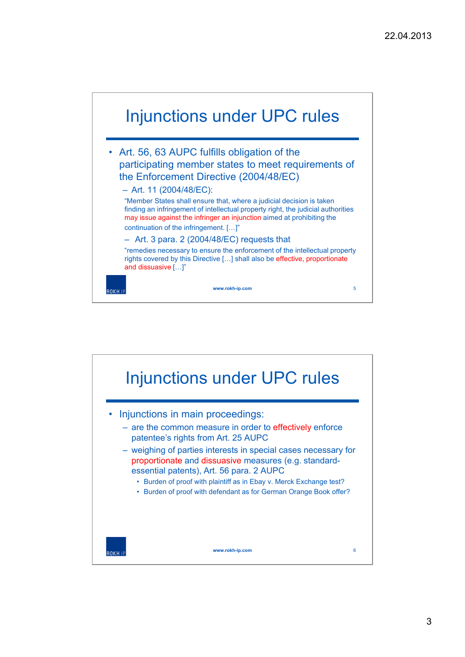

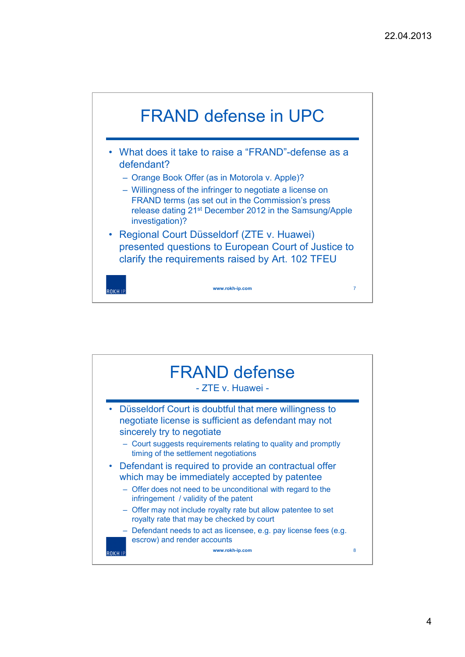